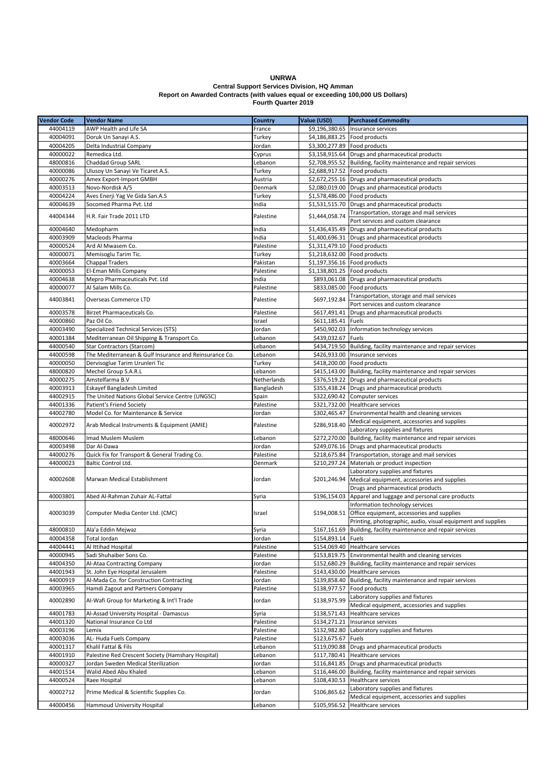## **UNRWA Central Support Services Division, HQ Amman Report on Awarded Contracts (with values equal or exceeding 100,000 US Dollars) Fourth Quarter 2019**

| <b>Vendor Code</b> | <b>Vendor Name</b>                                                                 | Country             | Value (USD)                  | <b>Purchased Commodity</b>                                        |
|--------------------|------------------------------------------------------------------------------------|---------------------|------------------------------|-------------------------------------------------------------------|
| 44004119           | AWP Health and Life SA                                                             | France              |                              | \$9,196,380.65   Insurance services                               |
| 40004091           | Doruk Un Sanayi A.S.                                                               | Turkey              | \$4,186,883.25 Food products |                                                                   |
| 40004205           | Delta Industrial Company                                                           | Jordan              | \$3,300,277.89 Food products |                                                                   |
| 40000022           | Remedica Ltd.                                                                      | Cyprus              |                              | \$3,158,915.64 Drugs and pharmaceutical products                  |
| 48000816           | <b>Chaddad Group SARL</b>                                                          | Lebanon             |                              | \$2,708,955.52 Building, facility maintenance and repair services |
| 40000086           | Ulusoy Un Sanayi Ve Ticaret A.S.                                                   | Turkey              | \$2,688,917.52 Food products |                                                                   |
| 40000276           | Amex Export-Import GMBH                                                            | Austria             |                              | \$2,672,255.16 Drugs and pharmaceutical products                  |
| 40003513           | Novo-Nordisk A/S                                                                   | Denmark             |                              | \$2,080,019.00 Drugs and pharmaceutical products                  |
| 40004224           | Aves Enerji Yag Ve Gida San.A.S                                                    | Turkey              | \$1,578,486.00 Food products |                                                                   |
| 40004639           | Socomed Pharma Pvt. Ltd                                                            | India               |                              | \$1,531,515.70 Drugs and pharmaceutical products                  |
|                    |                                                                                    |                     |                              | Transportation, storage and mail services                         |
| 44004344           | H.R. Fair Trade 2011 LTD                                                           | Palestine           | \$1,444,058.74               | Port services and custom clearance                                |
| 40004640           | Medopharm                                                                          | India               |                              | \$1,436,435.49 Drugs and pharmaceutical products                  |
| 40003909           | Macleods Pharma                                                                    | India               |                              | \$1,400,696.31 Drugs and pharmaceutical products                  |
| 40000524           | Ard Al Mwasem Co.                                                                  | Palestine           | \$1,311,479.10 Food products |                                                                   |
| 40000071           | Memisoglu Tarim Tic.                                                               | Turkey              | \$1,218,632.00 Food products |                                                                   |
| 40003664           | <b>Chappal Traders</b>                                                             | Pakistan            | \$1,197,356.16 Food products |                                                                   |
| 40000053           | El-Eman Mills Company                                                              | Palestine           | \$1,138,801.25 Food products |                                                                   |
| 40004638           | Mepro Pharmaceuticals Pvt. Ltd                                                     | India               |                              | \$893,061.08 Drugs and pharmaceutical products                    |
| 40000077           | Al Salam Mills Co.                                                                 | Palestine           |                              | \$833,085.00 Food products                                        |
|                    |                                                                                    |                     |                              | Transportation, storage and mail services                         |
| 44003841           | <b>Overseas Commerce LTD</b>                                                       | Palestine           | \$697,192.84                 | Port services and custom clearance                                |
| 40003578           | Birzet Pharmaceuticals Co.                                                         | Palestine           | \$617,491.41                 | Drugs and pharmaceutical products                                 |
| 40000860           | Paz Oil Co.                                                                        | Israel              | \$611,185.41 Fuels           |                                                                   |
| 40003490           | Specialized Technical Services (STS)                                               | Jordan              |                              | \$450,902.03 Information technology services                      |
| 40001384           | Mediterranean Oil Shipping & Transport Co.                                         | Lebanon             | \$439,032.67 Fuels           |                                                                   |
| 44000540           | Star Contractors (Starcom)                                                         | Lebanon             |                              | \$434,719.50 Building, facility maintenance and repair services   |
| 44000598           | The Mediterranean & Gulf Insurance and Reinsurance Co.                             | Lebanon             |                              | \$426,933.00 Insurance services                                   |
| 40000050           | Dervisoglue Tarim Urunleri Tic                                                     | Turkey              |                              | \$418,200.00 Food products                                        |
| 48000820           | Mechel Group S.A.R.L                                                               | Lebanon             |                              | \$415,143.00 Building, facility maintenance and repair services   |
| 40000275           | Amstelfarma B.V                                                                    | Netherlands         |                              |                                                                   |
|                    |                                                                                    |                     |                              | \$376,519.22 Drugs and pharmaceutical products                    |
| 40003913           | Eskayef Bangladesh Limited                                                         | Bangladesh          |                              | \$355,438.24 Drugs and pharmaceutical products                    |
| 44002915           | The United Nations Global Service Centre (UNGSC)                                   | Spain               |                              | \$322,690.42 Computer services                                    |
| 44001336           | Patient's Friend Society                                                           | Palestine           |                              | \$321,732.00 Healthcare services                                  |
| 44002780           | Model Co. for Maintenance & Service<br>Arab Medical Instruments & Equipment (AMIE) | Jordan<br>Palestine | \$286,918.40                 | \$302,465.47 Environmental health and cleaning services           |
| 40002972           |                                                                                    |                     |                              | Medical equipment, accessories and supplies                       |
|                    |                                                                                    |                     |                              | Laboratory supplies and fixtures                                  |
| 48000646           | Imad Muslem Muslem                                                                 | Lebanon             |                              | \$272,270.00 Building, facility maintenance and repair services   |
| 40003498           | Dar Al-Dawa                                                                        | Jordan              |                              | \$249,076.16 Drugs and pharmaceutical products                    |
| 44000276           | Quick Fix for Transport & General Trading Co.                                      | Palestine           |                              | \$218,675.84 Transportation, storage and mail services            |
| 44000023           | <b>Baltic Control Ltd.</b>                                                         | Denmark             |                              | \$210,297.24 Materials or product inspection                      |
|                    | Marwan Medical Establishment                                                       |                     |                              | Laboratory supplies and fixtures                                  |
| 40002608           |                                                                                    | Jordan              |                              | \$201,246.94 Medical equipment, accessories and supplies          |
|                    |                                                                                    |                     |                              | Drugs and pharmaceutical products                                 |
| 40003801           | Abed Al-Rahman Zuhair AL-Fattal                                                    | Syria               |                              | \$196,154.03 Apparel and luggage and personal care products       |
|                    | Computer Media Center Ltd. (CMC)                                                   | Israel              |                              | Information technology services                                   |
| 40003039           |                                                                                    |                     |                              | \$194,008.51 Office equipment, accessories and supplies           |
|                    |                                                                                    |                     |                              | Printing, photographic, audio, visual equipment and supplies      |
| 48000810           | Ala'a Eddin Mejwaz                                                                 | Syria               |                              | \$167,161.69 Building, facility maintenance and repair services   |
| 40004358           | Total Jordan                                                                       | Jordan              | \$154,893.14 Fuels           |                                                                   |
| 44004441           | Al Ittihad Hospital                                                                | Palestine           |                              | \$154,069.40 Healthcare services                                  |
| 40000945           | Sadi Shuhaiber Sons Co.                                                            | Palestine           |                              | \$153,819.75 Environmental health and cleaning services           |
| 44004350           | Al-Ataa Contracting Company                                                        | Jordan              |                              | \$152,680.29 Building, facility maintenance and repair services   |
| 44001943           | St. John Eye Hospital Jerusalem                                                    | Palestine           |                              | \$143,430.00 Healthcare services                                  |
| 44000919           | Al-Mada Co. for Construction Contracting                                           | Jordan              |                              | \$139,858.40   Building, facility maintenance and repair services |
| 40003965           | Hamdi Zagout and Partners Company                                                  | Palestine           |                              | \$138,977.57 Food products                                        |
| 40002890           | Al-Wafi Group for Marketing & Int'l Trade                                          | Jordan              | \$138,975.99                 | Laboratory supplies and fixtures                                  |
|                    |                                                                                    |                     |                              | Medical equipment, accessories and supplies                       |
| 44001783           | Al-Assad University Hospital - Damascus                                            | Syria               | \$138,571.43                 | Healthcare services                                               |
| 44001320           | National Insurance Co Ltd                                                          | Palestine           | \$134,271.21                 | Insurance services                                                |
| 40003196           | Lemix                                                                              | Palestine           |                              | \$132,982.80 Laboratory supplies and fixtures                     |
| 40003036           | AL-Huda Fuels Company                                                              | Palestine           | \$123,675.67 Fuels           |                                                                   |
| 40001317           | Khalil Fattal & Fils                                                               | Lebanon             |                              | \$119,090.88 Drugs and pharmaceutical products                    |
| 44001910           | Palestine Red Crescent Society (Hamshary Hospital)                                 | Lebanon             | \$117,780.41                 | Healthcare services                                               |
| 40000327           | Jordan Sweden Medical Sterilization                                                | Jordan              |                              | \$116,841.85 Drugs and pharmaceutical products                    |
| 44001514           | Walid Abed Abu Khaled                                                              | Lebanon             |                              | \$116,446.00 Building, facility maintenance and repair services   |
| 44000524           | Raee Hospital                                                                      | Lebanon             | \$108,430.53                 | Healthcare services                                               |
|                    |                                                                                    |                     |                              | Laboratory supplies and fixtures                                  |
| 40002712           | Prime Medical & Scientific Supplies Co.                                            | Jordan              | \$106,865.62                 | Medical equipment, accessories and supplies                       |
| 44000456           | Hammoud University Hospital                                                        | Lebanon             | \$105,956.52                 | Healthcare services                                               |
|                    |                                                                                    |                     |                              |                                                                   |